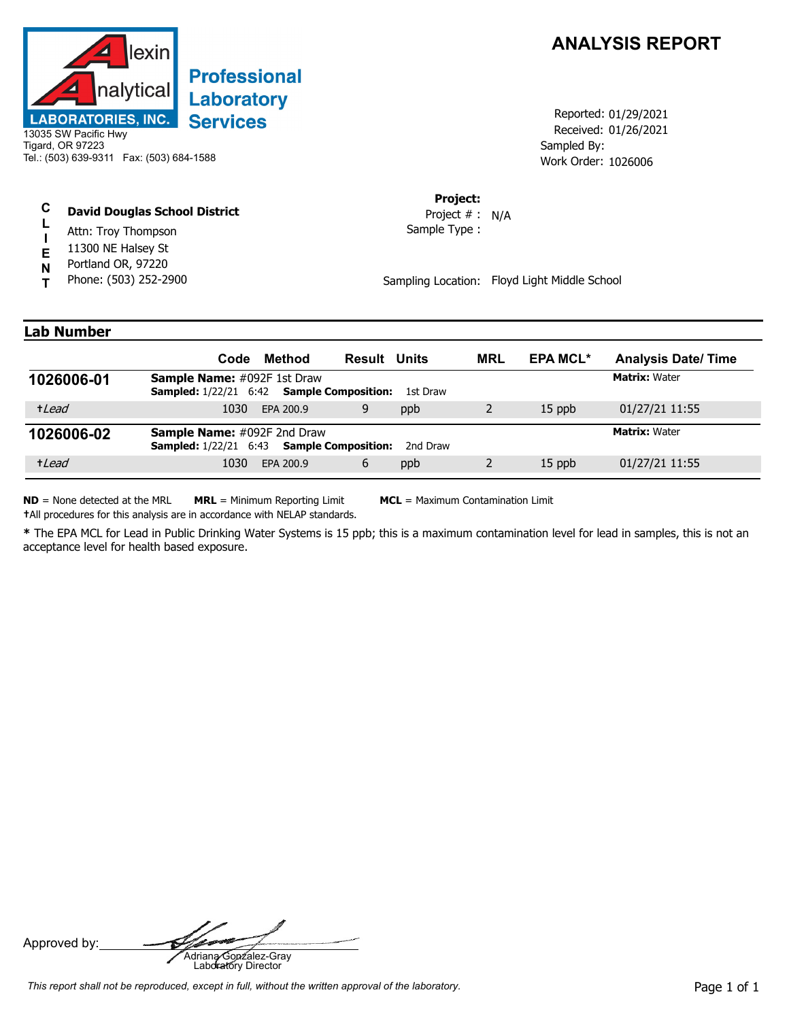

# **Professional Laboratory Services**

13035 SW Pacific Hwy Tigard, OR 97223 Tel.: (503) 639-9311 Fax: (503) 684-1588

#### **C David Douglas School District**

- **L** Attn: Troy Thompson
- **I E** 11300 NE Halsey St
- Portland OR, 97220
- **N T** Phone: (503) 252-2900

## **ANALYSIS REPORT**

Received: 01/26/2021 Work Order: 1026006 Reported: 01/29/2021 Sampled By:

### **Project:**

Sample Type : Project # : N/A

Sampling Location: Floyd Light Middle School

### **Lab Number**

|            | Code                                                                                          | Method    | <b>Result Units</b> |          | <b>MRL</b> | <b>EPA MCL*</b> | <b>Analysis Date/Time</b> |
|------------|-----------------------------------------------------------------------------------------------|-----------|---------------------|----------|------------|-----------------|---------------------------|
| 1026006-01 | <b>Sample Name:</b> #092F 1st Draw<br><b>Sampled:</b> 1/22/21 6:42 <b>Sample Composition:</b> |           |                     | 1st Draw |            |                 | <b>Matrix: Water</b>      |
| +Lead      | 1030                                                                                          | EPA 200.9 | 9                   | ppb      |            | $15$ ppb        | 01/27/21 11:55            |
| 1026006-02 | <b>Sample Name:</b> #092F 2nd Draw<br><b>Sampled:</b> 1/22/21 6:43 <b>Sample Composition:</b> |           |                     | 2nd Draw |            |                 | <b>Matrix: Water</b>      |
| +Lead      | 1030                                                                                          | EPA 200.9 | 6                   | ppb      |            | $15$ ppb        | 01/27/21 11:55            |

**ND** = None detected at the MRL **MRL** = Minimum Reporting Limit **MCL** = Maximum Contamination Limit **†**All procedures for this analysis are in accordance with NELAP standards.

**\*** The EPA MCL for Lead in Public Drinking Water Systems is 15 ppb; this is a maximum contamination level for lead in samples, this is not an acceptance level for health based exposure.

Approved by: **Adriana Gonzalez-Gray**<br>Adriana Gonzalez-Gray<br>Laboratory Director